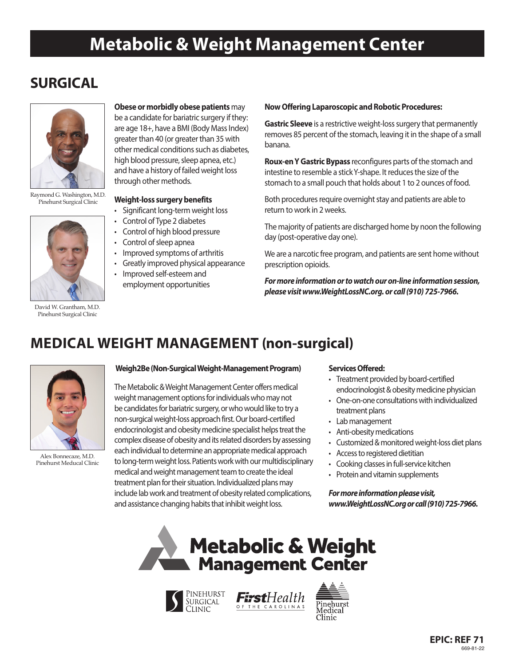# **Metabolic & Weight Management Center**

## **SURGICAL**



Raymond G. Washington, M.D. Pinehurst Surgical Clinic



David W. Grantham, M.D. Pinehurst Surgical Clinic

#### **Obese or morbidly obese patients** may

be a candidate for bariatric surgery if they: are age 18+, have a BMI (Body Mass Index) greater than 40 (or greater than 35 with other medical conditions such as diabetes, high blood pressure, sleep apnea, etc.) and have a history of failed weight loss through other methods.

#### **Weight-loss surgery benefits**

- Significant long-term weight loss
- Control of Type 2 diabetes
- Control of high blood pressure
- Control of sleep apnea
- Improved symptoms of arthritis
- Greatly improved physical appearance
- Improved self-esteem and employment opportunities

#### **Now Offering Laparoscopic and Robotic Procedures:**

**Gastric Sleeve** is a restrictive weight-loss surgery that permanently removes 85 percent of the stomach, leaving it in the shape of a small banana.

**Roux-en Y Gastric Bypass** reconfigures parts of the stomach and intestine to resemble a stick Y-shape. It reduces the size of the stomach to a small pouch that holds about 1 to 2 ounces of food.

Both procedures require overnight stay and patients are able to return to work in 2 weeks.

The majority of patients are discharged home by noon the following day (post-operative day one).

We are a narcotic free program, and patients are sent home without prescription opioids.

*For more information or to watch our on-line information session, please visit www.WeightLossNC.org. or call (910) 725-7966.*

### **MEDICAL WEIGHT MANAGEMENT (non-surgical)**



Alex Bonnecaze, M.D. Pinehurst Meducal Clinic

#### **Weigh2Be (Non-Surgical Weight-Management Program)**

The Metabolic & Weight Management Center offers medical weight management options for individuals who may not be candidates for bariatric surgery, or who would like to try a non-surgical weight-loss approach first. Our board-certified endocrinologist and obesity medicine specialist helps treat the complex disease of obesity and its related disorders by assessing each individual to determine an appropriate medical approach to long-term weight loss. Patients work with our multidisciplinary medical and weight management team to create the ideal treatment plan for their situation. Individualized plans may include lab work and treatment of obesity related complications, and assistance changing habits that inhibit weight loss.

#### **Services Offered:**

- Treatment provided by board-certified endocrinologist & obesity medicine physician
- One-on-one consultations with individualized treatment plans
- Lab management
- Anti-obesity medications
- Customized & monitored weight-loss diet plans
- Access to registered dietitian
- Cooking classes in full-service kitchen
- Protein and vitamin supplements

*For more information please visit, www.WeightLossNC.org or call (910) 725-7966.*